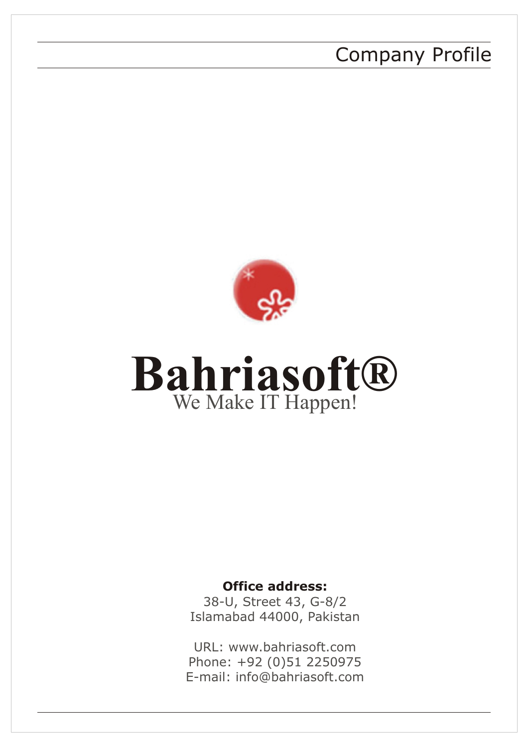# Company Profile



# **Bahriasoft®** We Make IT Happen!

## **Office address:**

38-U, Street 43, G-8/2 Islamabad 44000, Pakistan

URL: www.bahriasoft.com Phone: +92 (0)51 2250975 E-mail: info@bahriasoft.com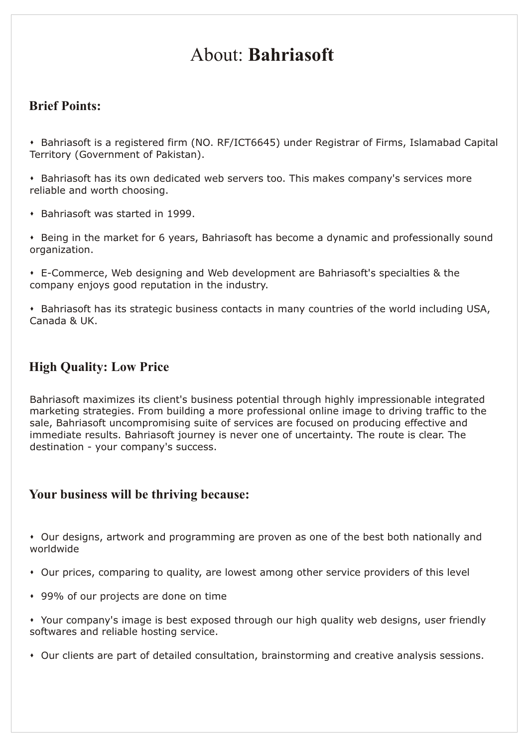# About: **Bahriasoft**

## **Brief Points:**

\* Bahriasoft is a registered firm (NO. RF/ICT6645) under Registrar of Firms, Islamabad Capital Territory (Government of Pakistan).

\* Bahriasoft has its own dedicated web servers too. This makes company's services more reliable and worth choosing.

- Bahriasoft was started in 1999.
- Being in the market for 6 years, Bahriasoft has become a dynamic and professionally sound organization.
- s E-Commerce, Web designing and Web development are Bahriasoft's specialties & the company enjoys good reputation in the industry.

\* Bahriasoft has its strategic business contacts in many countries of the world including USA, Canada & UK.

## **High Quality: Low Price**

Bahriasoft maximizes its client's business potential through highly impressionable integrated marketing strategies. From building a more professional online image to driving traffic to the sale, Bahriasoft uncompromising suite of services are focused on producing effective and immediate results. Bahriasoft journey is never one of uncertainty. The route is clear. The destination - your company's success.

## **Your business will be thriving because:**

• Our designs, artwork and programming are proven as one of the best both nationally and worldwide

- \* Our prices, comparing to quality, are lowest among other service providers of this level
- \* 99% of our projects are done on time

• Your company's image is best exposed through our high quality web designs, user friendly softwares and reliable hosting service.

\* Our clients are part of detailed consultation, brainstorming and creative analysis sessions.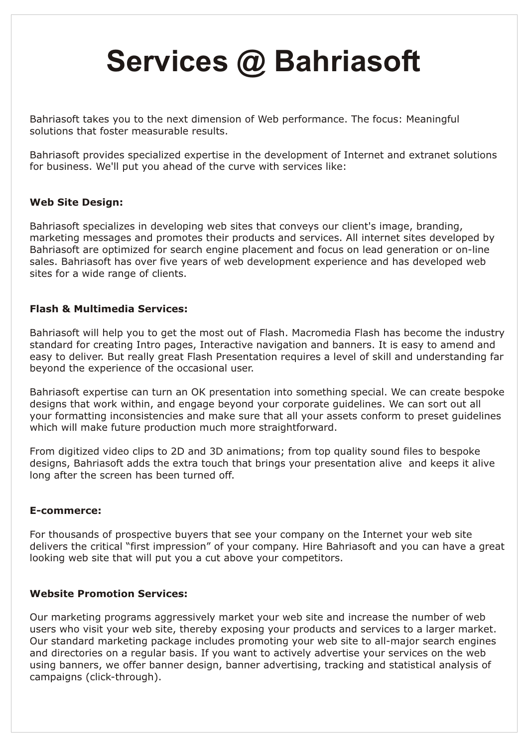# **Services @ Bahriasoft**

Bahriasoft takes you to the next dimension of Web performance. The focus: Meaningful solutions that foster measurable results.

Bahriasoft provides specialized expertise in the development of Internet and extranet solutions for business. We'll put you ahead of the curve with services like:

#### **Web Site Design:**

Bahriasoft specializes in developing web sites that conveys our client's image, branding, marketing messages and promotes their products and services. All internet sites developed by Bahriasoft are optimized for search engine placement and focus on lead generation or on-line sales. Bahriasoft has over five years of web development experience and has developed web sites for a wide range of clients.

#### **Flash & Multimedia Services:**

Bahriasoft will help you to get the most out of Flash. Macromedia Flash has become the industry standard for creating Intro pages, Interactive navigation and banners. It is easy to amend and easy to deliver. But really great Flash Presentation requires a level of skill and understanding far beyond the experience of the occasional user.

Bahriasoft expertise can turn an OK presentation into something special. We can create bespoke designs that work within, and engage beyond your corporate guidelines. We can sort out all your formatting inconsistencies and make sure that all your assets conform to preset guidelines which will make future production much more straightforward.

From digitized video clips to 2D and 3D animations; from top quality sound files to bespoke designs, Bahriasoft adds the extra touch that brings your presentation alive and keeps it alive long after the screen has been turned off.

#### **E-commerce:**

For thousands of prospective buyers that see your company on the Internet your web site delivers the critical "first impression" of your company. Hire Bahriasoft and you can have a great looking web site that will put you a cut above your competitors.

#### **Website Promotion Services:**

Our marketing programs aggressively market your web site and increase the number of web users who visit your web site, thereby exposing your products and services to a larger market. Our standard marketing package includes promoting your web site to all-major search engines and directories on a regular basis. If you want to actively advertise your services on the web using banners, we offer banner design, banner advertising, tracking and statistical analysis of campaigns (click-through).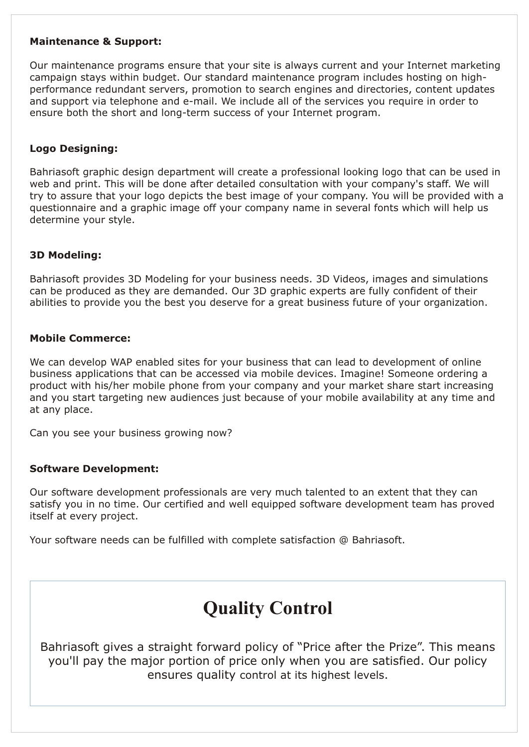#### **Maintenance & Support:**

Our maintenance programs ensure that your site is always current and your Internet marketing campaign stays within budget. Our standard maintenance program includes hosting on highperformance redundant servers, promotion to search engines and directories, content updates and support via telephone and e-mail. We include all of the services you require in order to ensure both the short and long-term success of your Internet program.

#### **Logo Designing:**

Bahriasoft graphic design department will create a professional looking logo that can be used in web and print. This will be done after detailed consultation with your company's staff. We will try to assure that your logo depicts the best image of your company. You will be provided with a questionnaire and a graphic image off your company name in several fonts which will help us determine your style.

#### **3D Modeling:**

Bahriasoft provides 3D Modeling for your business needs. 3D Videos, images and simulations can be produced as they are demanded. Our 3D graphic experts are fully confident of their abilities to provide you the best you deserve for a great business future of your organization.

#### **Mobile Commerce:**

We can develop WAP enabled sites for your business that can lead to development of online business applications that can be accessed via mobile devices. Imagine! Someone ordering a product with his/her mobile phone from your company and your market share start increasing and you start targeting new audiences just because of your mobile availability at any time and at any place.

Can you see your business growing now?

#### **Software Development:**

Our software development professionals are very much talented to an extent that they can satisfy you in no time. Our certified and well equipped software development team has proved itself at every project.

Your software needs can be fulfilled with complete satisfaction @ Bahriasoft.

# **Quality Control**

Bahriasoft gives a straight forward policy of "Price after the Prize". This means you'll pay the major portion of price only when you are satisfied. Our policy ensures quality control at its highest levels.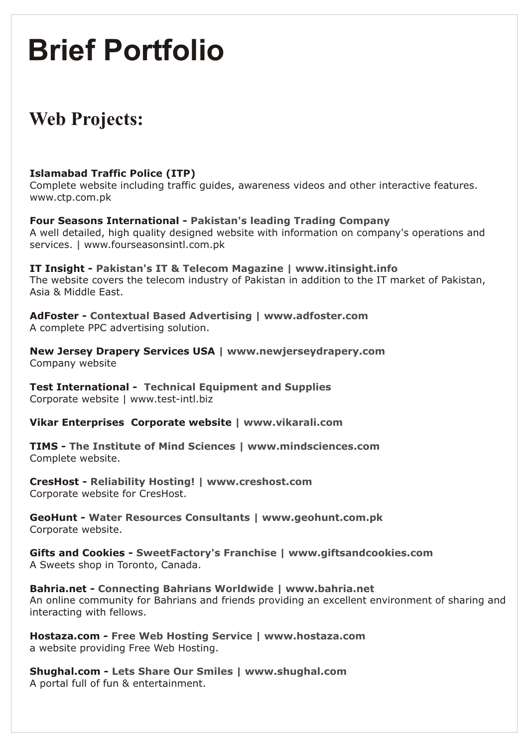# **Brief Portfolio**

# **Web Projects:**

### **Islamabad Traffic Police (ITP)**

Complete website including traffic guides, awareness videos and other interactive features. www.ctp.com.pk

**Four Seasons International - Pakistan's leading Trading Company** A well detailed, high quality designed website with information on company's operations and services. | www.fourseasonsintl.com.pk

**IT Insight - Pakistan's IT & Telecom Magazine | www.itinsight.info**  The website covers the telecom industry of Pakistan in addition to the IT market of Pakistan, Asia & Middle East.

**AdFoster - Contextual Based Advertising | www.adfoster.com**  A complete PPC advertising solution.

**New Jersey Drapery Services USA | www.newjerseydrapery.com**  Company website

**Test International - Technical Equipment and Supplies** Corporate website | www.test-intl.biz

**Vikar Enterprises Corporate website | www.vikarali.com** 

**TIMS - The Institute of Mind Sciences | www.mindsciences.com**  Complete website.

**CresHost - Reliability Hosting! | www.creshost.com**  Corporate website for CresHost.

**GeoHunt - Water Resources Consultants | www.geohunt.com.pk**  Corporate website.

**Gifts and Cookies - SweetFactory's Franchise | www.giftsandcookies.com**  A Sweets shop in Toronto, Canada.

**Bahria.net - Connecting Bahrians Worldwide | www.bahria.net**  An online community for Bahrians and friends providing an excellent environment of sharing and interacting with fellows.

**Hostaza.com - Free Web Hosting Service | www.hostaza.com**  a website providing Free Web Hosting.

**Shughal.com - Lets Share Our Smiles | www.shughal.com**  A portal full of fun & entertainment.